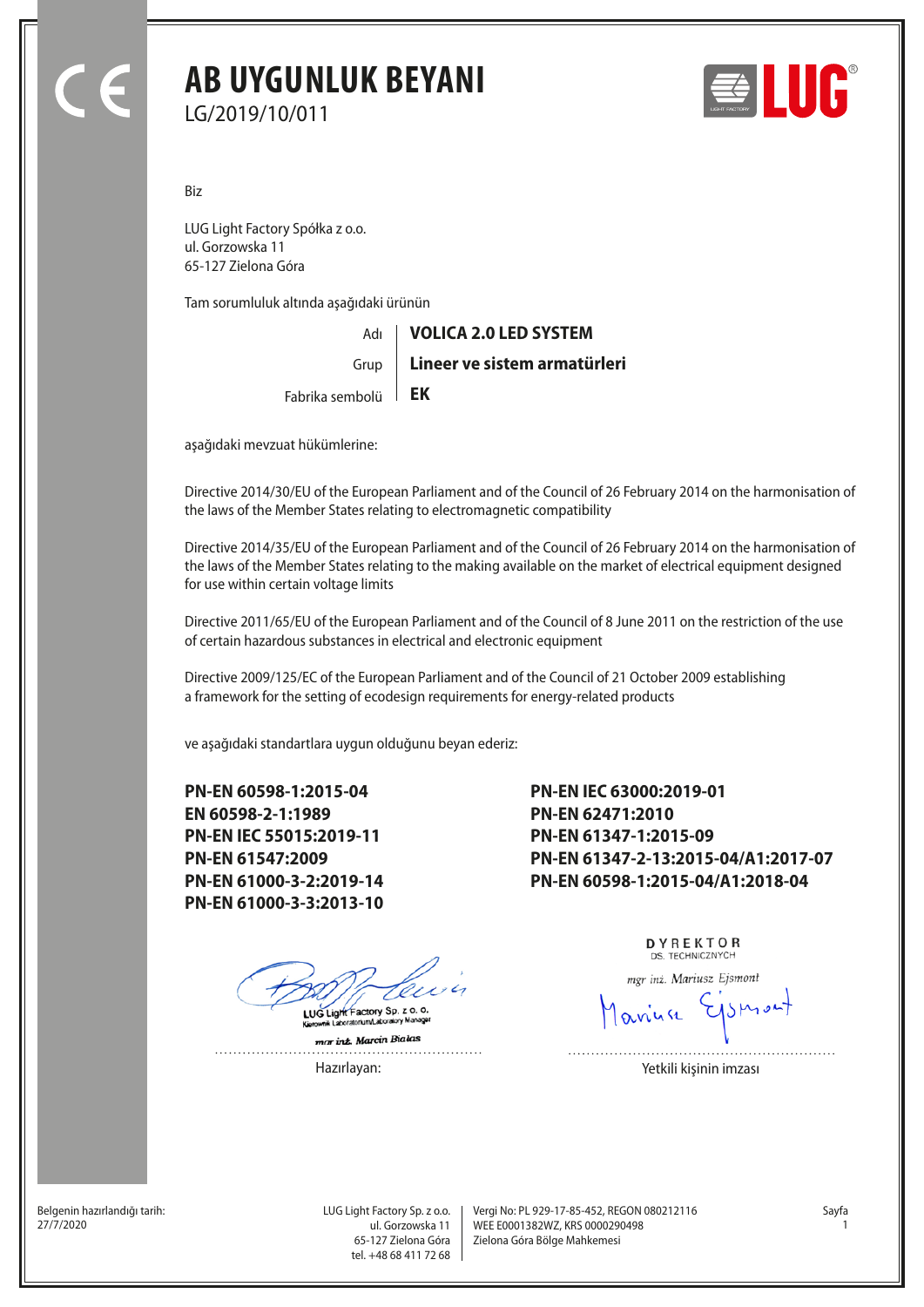### **AB UYGUNLUK BEYANI** LG/2019/10/011



Biz

LUG Light Factory Spółka z o.o. ul. Gorzowska 11 65-127 Zielona Góra

Tam sorumluluk altında aşağıdaki ürünün

Adı Fabrika sembolü **EK** Grup **VOLICA 2.0 LED SYSTEM Lineer ve sistem armatürleri**

aşağıdaki mevzuat hükümlerine:

Directive 2014/30/EU of the European Parliament and of the Council of 26 February 2014 on the harmonisation of the laws of the Member States relating to electromagnetic compatibility

Directive 2014/35/EU of the European Parliament and of the Council of 26 February 2014 on the harmonisation of the laws of the Member States relating to the making available on the market of electrical equipment designed for use within certain voltage limits

Directive 2011/65/EU of the European Parliament and of the Council of 8 June 2011 on the restriction of the use of certain hazardous substances in electrical and electronic equipment

Directive 2009/125/EC of the European Parliament and of the Council of 21 October 2009 establishing a framework for the setting of ecodesign requirements for energy-related products

ve aşağıdaki standartlara uygun olduğunu beyan ederiz:

**PN-EN 60598-1:2015-04 EN 60598-2-1:1989 PN-EN IEC 55015:2019-11 PN-EN 61547:2009 PN-EN 61000-3-2:2019-14 PN-EN 61000-3-3:2013-10**

. . . . . . . . . . . . . . . .

LUG Light Factory Sp. z o. o.

mar inz. Marcin Bialas Hazırlayan: Yetkili kişinin imzası

**PN-EN IEC 63000:2019-01 PN-EN 62471:2010 PN-EN 61347-1:2015-09 PN-EN 61347-2-13:2015-04/A1:2017-07 PN-EN 60598-1:2015-04/A1:2018-04**

> DYREKTOR DS. TECHNICZNYCH

mgr inż. Mariusz Ejsmont

Belgenin hazırlandığı tarih:<br>27/7/2020

ul. Gorzowska 11 65-127 Zielona Góra tel. +48 68 411 72 68

LUG Light Factory Sp. z o.o. | Vergi No: PL 929-17-85-452, REGON 080212116 Sayfa WEE E0001382WZ, KRS 0000290498 27/7/2020 1 Zielona Góra Bölge Mahkemesi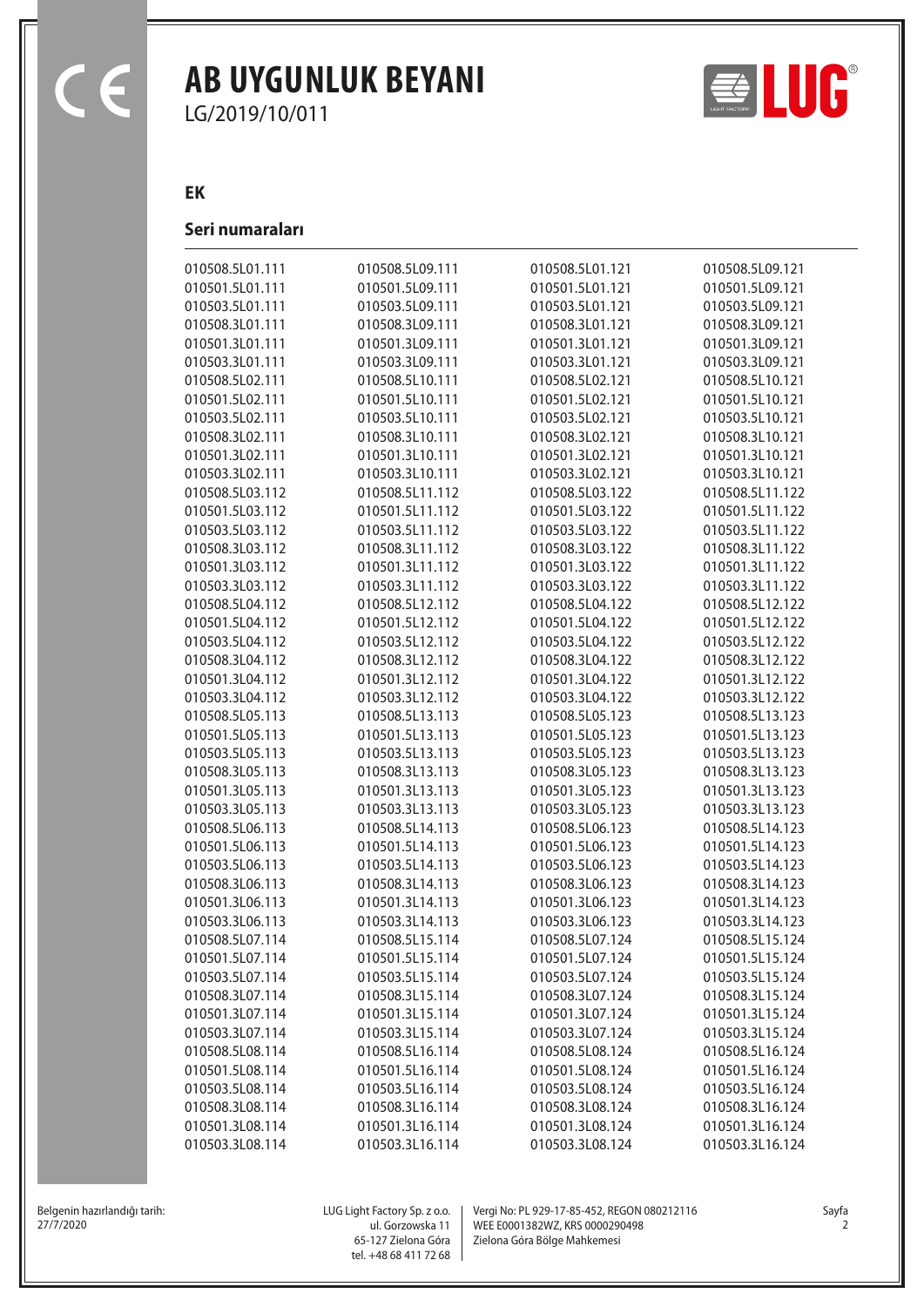$\overline{\epsilon}$ 

## **AB UYGUNLUK BEYANI**

LG/2019/10/011

ELUC

**EK**

#### **Seri numaraları**

| 010508.5L01.111 | 010508.5L09.111 | 010508.5L01.121 | 010508.5L09.121 |
|-----------------|-----------------|-----------------|-----------------|
| 010501.5L01.111 | 010501.5L09.111 | 010501.5L01.121 | 010501.5L09.121 |
| 010503.5L01.111 | 010503.5L09.111 | 010503.5L01.121 | 010503.5L09.121 |
| 010508.3L01.111 | 010508.3L09.111 | 010508.3L01.121 | 010508.3L09.121 |
| 010501.3L01.111 | 010501.3L09.111 | 010501.3L01.121 | 010501.3L09.121 |
| 010503.3L01.111 | 010503.3L09.111 | 010503.3L01.121 | 010503.3L09.121 |
| 010508.5L02.111 | 010508.5L10.111 | 010508.5L02.121 | 010508.5L10.121 |
| 010501.5L02.111 | 010501.5L10.111 | 010501.5L02.121 | 010501.5L10.121 |
| 010503.5L02.111 | 010503.5L10.111 | 010503.5L02.121 | 010503.5L10.121 |
| 010508.3L02.111 | 010508.3L10.111 | 010508.3L02.121 | 010508.3L10.121 |
| 010501.3L02.111 | 010501.3L10.111 | 010501.3L02.121 | 010501.3L10.121 |
| 010503.3L02.111 | 010503.3L10.111 | 010503.3L02.121 | 010503.3L10.121 |
| 010508.5L03.112 | 010508.5L11.112 | 010508.5L03.122 | 010508.5L11.122 |
|                 |                 |                 |                 |
| 010501.5L03.112 | 010501.5L11.112 | 010501.5L03.122 | 010501.5L11.122 |
| 010503.5L03.112 | 010503.5L11.112 | 010503.5L03.122 | 010503.5L11.122 |
| 010508.3L03.112 | 010508.3L11.112 | 010508.3L03.122 | 010508.3L11.122 |
| 010501.3L03.112 | 010501.3L11.112 | 010501.3L03.122 | 010501.3L11.122 |
| 010503.3L03.112 | 010503.3L11.112 | 010503.3L03.122 | 010503.3L11.122 |
| 010508.5L04.112 | 010508.5L12.112 | 010508.5L04.122 | 010508.5L12.122 |
| 010501.5L04.112 | 010501.5L12.112 | 010501.5L04.122 | 010501.5L12.122 |
| 010503.5L04.112 | 010503.5L12.112 | 010503.5L04.122 | 010503.5L12.122 |
| 010508.3L04.112 | 010508.3L12.112 | 010508.3L04.122 | 010508.3L12.122 |
| 010501.3L04.112 | 010501.3L12.112 | 010501.3L04.122 | 010501.3L12.122 |
| 010503.3L04.112 | 010503.3L12.112 | 010503.3L04.122 | 010503.3L12.122 |
| 010508.5L05.113 | 010508.5L13.113 | 010508.5L05.123 | 010508.5L13.123 |
| 010501.5L05.113 | 010501.5L13.113 | 010501.5L05.123 | 010501.5L13.123 |
| 010503.5L05.113 | 010503.5L13.113 | 010503.5L05.123 | 010503.5L13.123 |
| 010508.3L05.113 | 010508.3L13.113 | 010508.3L05.123 | 010508.3L13.123 |
| 010501.3L05.113 | 010501.3L13.113 | 010501.3L05.123 | 010501.3L13.123 |
| 010503.3L05.113 | 010503.3L13.113 | 010503.3L05.123 | 010503.3L13.123 |
| 010508.5L06.113 | 010508.5L14.113 | 010508.5L06.123 | 010508.5L14.123 |
| 010501.5L06.113 | 010501.5L14.113 | 010501.5L06.123 | 010501.5L14.123 |
| 010503.5L06.113 | 010503.5L14.113 | 010503.5L06.123 | 010503.5L14.123 |
| 010508.3L06.113 | 010508.3L14.113 | 010508.3L06.123 | 010508.3L14.123 |
| 010501.3L06.113 | 010501.3L14.113 | 010501.3L06.123 | 010501.3L14.123 |
| 010503.3L06.113 | 010503.3L14.113 | 010503.3L06.123 | 010503.3L14.123 |
| 010508.5L07.114 | 010508.5L15.114 | 010508.5L07.124 | 010508.5L15.124 |
| 010501.5L07.114 | 010501.5L15.114 | 010501.5L07.124 | 010501.5L15.124 |
| 010503.5L07.114 | 010503.5L15.114 | 010503.5L07.124 | 010503.5L15.124 |
| 010508.3L07.114 | 010508.3L15.114 | 010508.3L07.124 | 010508.3L15.124 |
| 010501.3L07.114 | 010501.3L15.114 | 010501.3L07.124 | 010501.3L15.124 |
| 010503.3L07.114 | 010503.3L15.114 | 010503.3L07.124 | 010503.3L15.124 |
| 010508.5L08.114 | 010508.5L16.114 | 010508.5L08.124 | 010508.5L16.124 |
| 010501.5L08.114 | 010501.5L16.114 | 010501.5L08.124 | 010501.5L16.124 |
| 010503.5L08.114 | 010503.5L16.114 | 010503.5L08.124 | 010503.5L16.124 |
| 010508.3L08.114 | 010508.3L16.114 | 010508.3L08.124 | 010508.3L16.124 |
| 010501.3L08.114 | 010501.3L16.114 | 010501.3L08.124 | 010501.3L16.124 |
| 010503.3L08.114 | 010503.3L16.114 | 010503.3L08.124 | 010503.3L16.124 |
|                 |                 |                 |                 |

Belgenin hazırlandığı tarih:<br>27/7/2020

ul. Gorzowska 11 65-127 Zielona Góra tel. +48 68 411 72 68

LUG Light Factory Sp. z o.o. | Vergi No: PL 929-17-85-452, REGON 080212116 Sayfa WEE E0001382WZ, KRS 0000290498 27/7/2020 2 Zielona Góra Bölge Mahkemesi